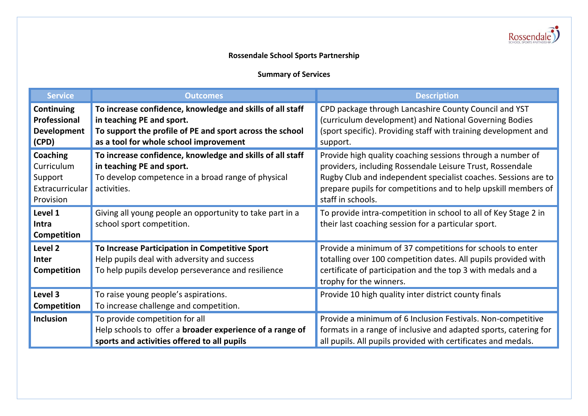

## **Rossendale School Sports Partnership**

## **Summary of Services**

| <b>Service</b>                                                           | <b>Outcomes</b>                                                                                                                                                                              | <b>Description</b>                                                                                                                                                                                                                                                               |
|--------------------------------------------------------------------------|----------------------------------------------------------------------------------------------------------------------------------------------------------------------------------------------|----------------------------------------------------------------------------------------------------------------------------------------------------------------------------------------------------------------------------------------------------------------------------------|
| <b>Continuing</b><br>Professional<br><b>Development</b><br>(CPD)         | To increase confidence, knowledge and skills of all staff<br>in teaching PE and sport.<br>To support the profile of PE and sport across the school<br>as a tool for whole school improvement | CPD package through Lancashire County Council and YST<br>(curriculum development) and National Governing Bodies<br>(sport specific). Providing staff with training development and<br>support.                                                                                   |
| <b>Coaching</b><br>Curriculum<br>Support<br>Extracurricular<br>Provision | To increase confidence, knowledge and skills of all staff<br>in teaching PE and sport.<br>To develop competence in a broad range of physical<br>activities.                                  | Provide high quality coaching sessions through a number of<br>providers, including Rossendale Leisure Trust, Rossendale<br>Rugby Club and independent specialist coaches. Sessions are to<br>prepare pupils for competitions and to help upskill members of<br>staff in schools. |
| Level 1<br>Intra<br><b>Competition</b>                                   | Giving all young people an opportunity to take part in a<br>school sport competition.                                                                                                        | To provide intra-competition in school to all of Key Stage 2 in<br>their last coaching session for a particular sport.                                                                                                                                                           |
| Level 2<br><b>Inter</b><br><b>Competition</b>                            | To Increase Participation in Competitive Sport<br>Help pupils deal with adversity and success<br>To help pupils develop perseverance and resilience                                          | Provide a minimum of 37 competitions for schools to enter<br>totalling over 100 competition dates. All pupils provided with<br>certificate of participation and the top 3 with medals and a<br>trophy for the winners.                                                           |
| Level 3<br>Competition                                                   | To raise young people's aspirations.<br>To increase challenge and competition.                                                                                                               | Provide 10 high quality inter district county finals                                                                                                                                                                                                                             |
| Inclusion                                                                | To provide competition for all<br>Help schools to offer a broader experience of a range of<br>sports and activities offered to all pupils                                                    | Provide a minimum of 6 Inclusion Festivals. Non-competitive<br>formats in a range of inclusive and adapted sports, catering for<br>all pupils. All pupils provided with certificates and medals.                                                                                 |